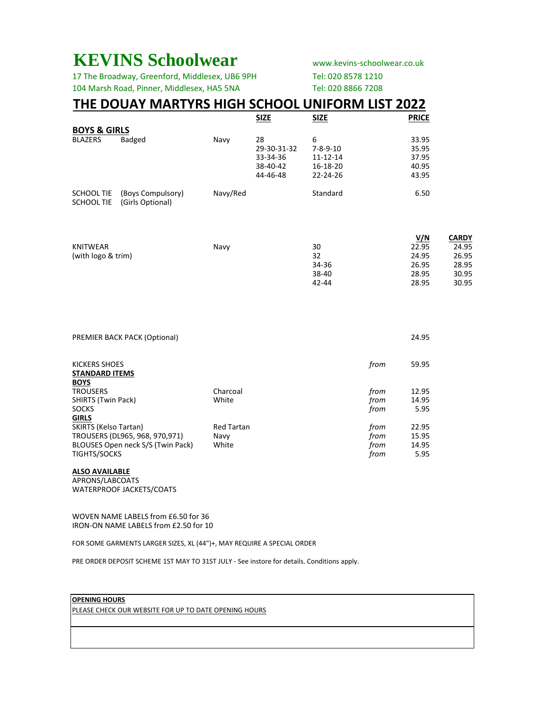# **KEVINS Schoolwear** www.kevins-schoolwear.co.uk

17 The Broadway, Greenford, Middlesex, UB6 9PH Tel: 020 8578 1210 104 Marsh Road, Pinner, Middlesex, HA5 5NA Tel: 020 8866 7208

## **THE DOUAY MARTYRS HIGH SCHOOL UNIFORM LIST 2022**

|                                 |                                       |          | <b>SIZE</b> | <b>SIZE</b>      | <b>PRICE</b> |
|---------------------------------|---------------------------------------|----------|-------------|------------------|--------------|
| <b>BOYS &amp; GIRLS</b>         |                                       |          |             |                  |              |
| <b>BLAZERS</b>                  | <b>Badged</b>                         | Navy     | 28          | 6                | 33.95        |
|                                 |                                       |          | 29-30-31-32 | $7 - 8 - 9 - 10$ | 35.95        |
|                                 |                                       |          | 33-34-36    | 11-12-14         | 37.95        |
|                                 |                                       |          | 38-40-42    | 16-18-20         | 40.95        |
|                                 |                                       |          | 44-46-48    | $22 - 24 - 26$   | 43.95        |
| SCHOOL TIE<br><b>SCHOOL TIE</b> | (Boys Compulsory)<br>(Girls Optional) | Navy/Red |             | Standard         | 6.50         |

|                    |      |           | V/N   | CARDY |
|--------------------|------|-----------|-------|-------|
| KNITWEAR           | Navv | 30        | 22.95 | 24.95 |
| (with logo & trim) |      | 32        | 24.95 | 26.95 |
|                    |      | 34-36     | 26.95 | 28.95 |
|                    |      | 38-40     | 28.95 | 30.95 |
|                    |      | $42 - 44$ | 28.95 | 30.95 |

| <b>PREMIER BACK PACK (Optional)</b>    |                   |      | 24.95 |
|----------------------------------------|-------------------|------|-------|
| KICKERS SHOES<br><b>STANDARD ITEMS</b> |                   | from | 59.95 |
| <b>BOYS</b><br><b>TROUSERS</b>         | Charcoal          | from | 12.95 |
| <b>SHIRTS (Twin Pack)</b>              | White             | from | 14.95 |
| <b>SOCKS</b><br><b>GIRLS</b>           |                   | from | 5.95  |
| SKIRTS (Kelso Tartan)                  | <b>Red Tartan</b> | from | 22.95 |
| TROUSERS (DL965, 968, 970, 971)        | Navy              | from | 15.95 |
| BLOUSES Open neck S/S (Twin Pack)      | White             | trom | 14.95 |
| <b>TIGHTS/SOCKS</b>                    |                   | from | 5.95  |

## **ALSO AVAILABLE**

APRONS/LABCOATS WATERPROOF JACKETS/COATS

WOVEN NAME LABELS from £6.50 for 36 IRON-ON NAME LABELS from £2.50 for 10

FOR SOME GARMENTS LARGER SIZES, XL (44")+, MAY REQUIRE A SPECIAL ORDER

PRE ORDER DEPOSIT SCHEME 1ST MAY TO 31ST JULY - See instore for details. Conditions apply.

### **OPENING HOURS**

PLEASE CHECK OUR WEBSITE FOR UP TO DATE OPENING HOURS